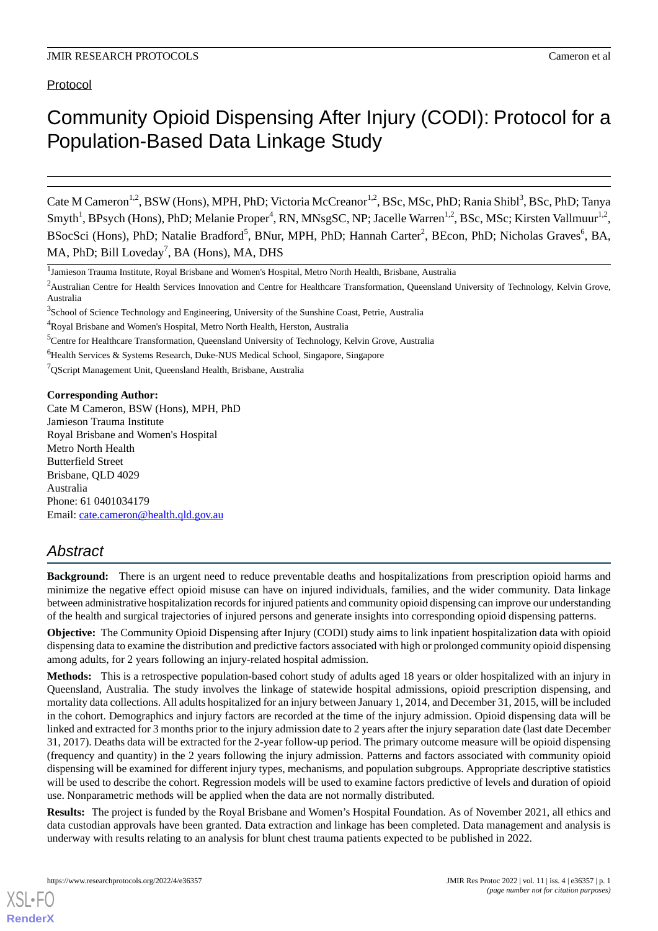# Protocol

# Community Opioid Dispensing After Injury (CODI): Protocol for a Population-Based Data Linkage Study

Cate M Cameron<sup>1,2</sup>, BSW (Hons), MPH, PhD; Victoria McCreanor<sup>1,2</sup>, BSc, MSc, PhD; Rania Shibl<sup>3</sup>, BSc, PhD; Tanya Smyth<sup>1</sup>, BPsych (Hons), PhD; Melanie Proper<sup>4</sup>, RN, MNsgSC, NP; Jacelle Warren<sup>1,2</sup>, BSc, MSc; Kirsten Vallmuur<sup>1,2</sup>, BSocSci (Hons), PhD; Natalie Bradford<sup>5</sup>, BNur, MPH, PhD; Hannah Carter<sup>2</sup>, BEcon, PhD; Nicholas Graves<sup>6</sup>, BA, MA, PhD; Bill Loveday<sup>7</sup>, BA (Hons), MA, DHS

<sup>2</sup>Australian Centre for Health Services Innovation and Centre for Healthcare Transformation, Queensland University of Technology, Kelvin Grove, Australia

<sup>7</sup>QScript Management Unit, Queensland Health, Brisbane, Australia

#### **Corresponding Author:**

Cate M Cameron, BSW (Hons), MPH, PhD Jamieson Trauma Institute Royal Brisbane and Women's Hospital Metro North Health Butterfield Street Brisbane, QLD 4029 Australia Phone: 61 0401034179 Email: [cate.cameron@health.qld.gov.au](mailto:cate.cameron@health.qld.gov.au)

# *Abstract*

**Background:** There is an urgent need to reduce preventable deaths and hospitalizations from prescription opioid harms and minimize the negative effect opioid misuse can have on injured individuals, families, and the wider community. Data linkage between administrative hospitalization records for injured patients and community opioid dispensing can improve our understanding of the health and surgical trajectories of injured persons and generate insights into corresponding opioid dispensing patterns.

**Objective:** The Community Opioid Dispensing after Injury (CODI) study aims to link inpatient hospitalization data with opioid dispensing data to examine the distribution and predictive factors associated with high or prolonged community opioid dispensing among adults, for 2 years following an injury-related hospital admission.

**Methods:** This is a retrospective population-based cohort study of adults aged 18 years or older hospitalized with an injury in Queensland, Australia. The study involves the linkage of statewide hospital admissions, opioid prescription dispensing, and mortality data collections. All adults hospitalized for an injury between January 1, 2014, and December 31, 2015, will be included in the cohort. Demographics and injury factors are recorded at the time of the injury admission. Opioid dispensing data will be linked and extracted for 3 months prior to the injury admission date to 2 years after the injury separation date (last date December 31, 2017). Deaths data will be extracted for the 2-year follow-up period. The primary outcome measure will be opioid dispensing (frequency and quantity) in the 2 years following the injury admission. Patterns and factors associated with community opioid dispensing will be examined for different injury types, mechanisms, and population subgroups. Appropriate descriptive statistics will be used to describe the cohort. Regression models will be used to examine factors predictive of levels and duration of opioid use. Nonparametric methods will be applied when the data are not normally distributed.

**Results:** The project is funded by the Royal Brisbane and Women's Hospital Foundation. As of November 2021, all ethics and data custodian approvals have been granted. Data extraction and linkage has been completed. Data management and analysis is underway with results relating to an analysis for blunt chest trauma patients expected to be published in 2022.

<sup>&</sup>lt;sup>1</sup> Jamieson Trauma Institute, Royal Brisbane and Women's Hospital, Metro North Health, Brisbane, Australia

<sup>&</sup>lt;sup>3</sup>School of Science Technology and Engineering, University of the Sunshine Coast, Petrie, Australia

<sup>&</sup>lt;sup>4</sup>Royal Brisbane and Women's Hospital, Metro North Health, Herston, Australia

<sup>&</sup>lt;sup>5</sup>Centre for Healthcare Transformation, Queensland University of Technology, Kelvin Grove, Australia

<sup>&</sup>lt;sup>6</sup>Health Services & Systems Research, Duke-NUS Medical School, Singapore, Singapore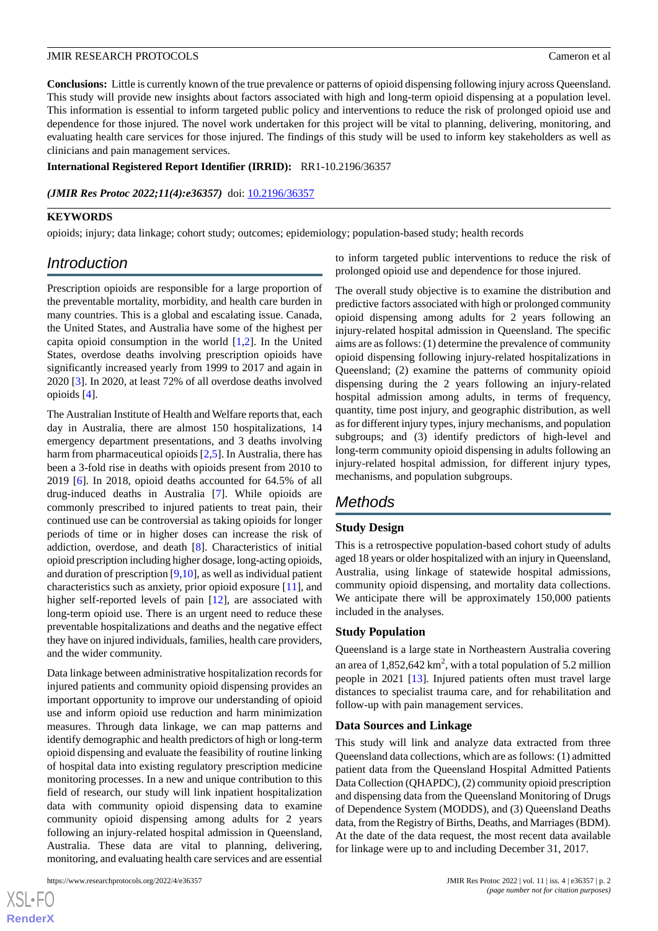**Conclusions:** Little is currently known of the true prevalence or patterns of opioid dispensing following injury across Queensland. This study will provide new insights about factors associated with high and long-term opioid dispensing at a population level. This information is essential to inform targeted public policy and interventions to reduce the risk of prolonged opioid use and dependence for those injured. The novel work undertaken for this project will be vital to planning, delivering, monitoring, and evaluating health care services for those injured. The findings of this study will be used to inform key stakeholders as well as clinicians and pain management services.

#### **International Registered Report Identifier (IRRID):** RR1-10.2196/36357

*(JMIR Res Protoc 2022;11(4):e36357)* doi: [10.2196/36357](http://dx.doi.org/10.2196/36357)

#### **KEYWORDS**

opioids; injury; data linkage; cohort study; outcomes; epidemiology; population-based study; health records

# *Introduction*

Prescription opioids are responsible for a large proportion of the preventable mortality, morbidity, and health care burden in many countries. This is a global and escalating issue. Canada, the United States, and Australia have some of the highest per capita opioid consumption in the world [[1](#page-5-0)[,2](#page-5-1)]. In the United States, overdose deaths involving prescription opioids have significantly increased yearly from 1999 to 2017 and again in 2020 [\[3](#page-5-2)]. In 2020, at least 72% of all overdose deaths involved opioids [[4\]](#page-5-3).

The Australian Institute of Health and Welfare reports that, each day in Australia, there are almost 150 hospitalizations, 14 emergency department presentations, and 3 deaths involving harm from pharmaceutical opioids [\[2](#page-5-1),[5\]](#page-5-4). In Australia, there has been a 3-fold rise in deaths with opioids present from 2010 to 2019 [[6](#page-5-5)]. In 2018, opioid deaths accounted for 64.5% of all drug-induced deaths in Australia [\[7](#page-5-6)]. While opioids are commonly prescribed to injured patients to treat pain, their continued use can be controversial as taking opioids for longer periods of time or in higher doses can increase the risk of addiction, overdose, and death [[8\]](#page-5-7). Characteristics of initial opioid prescription including higher dosage, long-acting opioids, and duration of prescription [\[9](#page-5-8),[10\]](#page-5-9), as well as individual patient characteristics such as anxiety, prior opioid exposure [[11\]](#page-5-10), and higher self-reported levels of pain [\[12](#page-5-11)], are associated with long-term opioid use. There is an urgent need to reduce these preventable hospitalizations and deaths and the negative effect they have on injured individuals, families, health care providers, and the wider community.

Data linkage between administrative hospitalization records for injured patients and community opioid dispensing provides an important opportunity to improve our understanding of opioid use and inform opioid use reduction and harm minimization measures. Through data linkage, we can map patterns and identify demographic and health predictors of high or long-term opioid dispensing and evaluate the feasibility of routine linking of hospital data into existing regulatory prescription medicine monitoring processes. In a new and unique contribution to this field of research, our study will link inpatient hospitalization data with community opioid dispensing data to examine community opioid dispensing among adults for 2 years following an injury-related hospital admission in Queensland, Australia. These data are vital to planning, delivering, monitoring, and evaluating health care services and are essential

to inform targeted public interventions to reduce the risk of prolonged opioid use and dependence for those injured.

The overall study objective is to examine the distribution and predictive factors associated with high or prolonged community opioid dispensing among adults for 2 years following an injury-related hospital admission in Queensland. The specific aims are as follows: (1) determine the prevalence of community opioid dispensing following injury-related hospitalizations in Queensland; (2) examine the patterns of community opioid dispensing during the 2 years following an injury-related hospital admission among adults, in terms of frequency, quantity, time post injury, and geographic distribution, as well as for different injury types, injury mechanisms, and population subgroups; and (3) identify predictors of high-level and long-term community opioid dispensing in adults following an injury-related hospital admission, for different injury types, mechanisms, and population subgroups.

# *Methods*

#### **Study Design**

This is a retrospective population-based cohort study of adults aged 18 years or older hospitalized with an injury in Queensland, Australia, using linkage of statewide hospital admissions, community opioid dispensing, and mortality data collections. We anticipate there will be approximately 150,000 patients included in the analyses.

#### **Study Population**

Queensland is a large state in Northeastern Australia covering an area of  $1,852,642 \text{ km}^2$ , with a total population of 5.2 million people in 2021 [\[13](#page-5-12)]. Injured patients often must travel large distances to specialist trauma care, and for rehabilitation and follow-up with pain management services.

#### **Data Sources and Linkage**

This study will link and analyze data extracted from three Queensland data collections, which are as follows: (1) admitted patient data from the Queensland Hospital Admitted Patients Data Collection (QHAPDC), (2) community opioid prescription and dispensing data from the Queensland Monitoring of Drugs of Dependence System (MODDS), and (3) Queensland Deaths data, from the Registry of Births, Deaths, and Marriages (BDM). At the date of the data request, the most recent data available for linkage were up to and including December 31, 2017.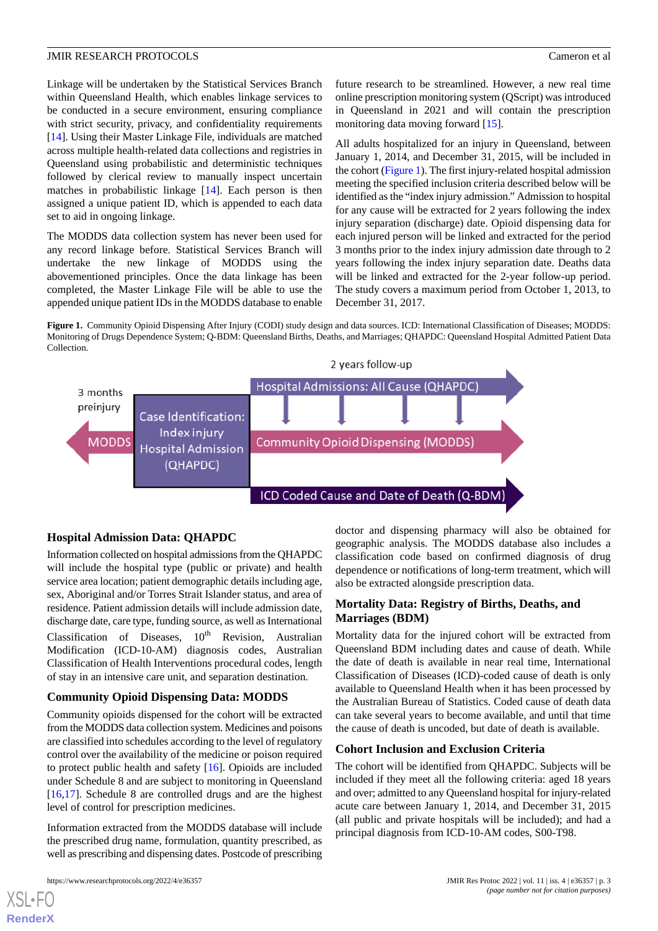Linkage will be undertaken by the Statistical Services Branch within Queensland Health, which enables linkage services to be conducted in a secure environment, ensuring compliance with strict security, privacy, and confidentiality requirements [[14\]](#page-5-13). Using their Master Linkage File, individuals are matched across multiple health-related data collections and registries in Queensland using probabilistic and deterministic techniques followed by clerical review to manually inspect uncertain matches in probabilistic linkage [[14\]](#page-5-13). Each person is then assigned a unique patient ID, which is appended to each data set to aid in ongoing linkage.

The MODDS data collection system has never been used for any record linkage before. Statistical Services Branch will undertake the new linkage of MODDS using the abovementioned principles. Once the data linkage has been completed, the Master Linkage File will be able to use the appended unique patient IDs in the MODDS database to enable future research to be streamlined. However, a new real time online prescription monitoring system (QScript) was introduced in Queensland in 2021 and will contain the prescription monitoring data moving forward [\[15](#page-5-14)].

All adults hospitalized for an injury in Queensland, between January 1, 2014, and December 31, 2015, will be included in the cohort [\(Figure 1\)](#page-2-0). The first injury-related hospital admission meeting the specified inclusion criteria described below will be identified as the "index injury admission." Admission to hospital for any cause will be extracted for 2 years following the index injury separation (discharge) date. Opioid dispensing data for each injured person will be linked and extracted for the period 3 months prior to the index injury admission date through to 2 years following the index injury separation date. Deaths data will be linked and extracted for the 2-year follow-up period. The study covers a maximum period from October 1, 2013, to December 31, 2017.

<span id="page-2-0"></span>**Figure 1.** Community Opioid Dispensing After Injury (CODI) study design and data sources. ICD: International Classification of Diseases; MODDS: Monitoring of Drugs Dependence System; Q-BDM: Queensland Births, Deaths, and Marriages; QHAPDC: Queensland Hospital Admitted Patient Data Collection.



# **Hospital Admission Data: QHAPDC**

Information collected on hospital admissions from the QHAPDC will include the hospital type (public or private) and health service area location; patient demographic details including age, sex, Aboriginal and/or Torres Strait Islander status, and area of residence. Patient admission details will include admission date, discharge date, care type, funding source, as well as International Classification of Diseases,  $10^{th}$  Revision, Australian Modification (ICD-10-AM) diagnosis codes, Australian Classification of Health Interventions procedural codes, length of stay in an intensive care unit, and separation destination.

# **Community Opioid Dispensing Data: MODDS**

Community opioids dispensed for the cohort will be extracted from the MODDS data collection system. Medicines and poisons are classified into schedules according to the level of regulatory control over the availability of the medicine or poison required to protect public health and safety [\[16](#page-5-15)]. Opioids are included under Schedule 8 and are subject to monitoring in Queensland [[16](#page-5-15)[,17](#page-5-16)]. Schedule 8 are controlled drugs and are the highest level of control for prescription medicines.

Information extracted from the MODDS database will include the prescribed drug name, formulation, quantity prescribed, as well as prescribing and dispensing dates. Postcode of prescribing

[XSL](http://www.w3.org/Style/XSL)•FO **[RenderX](http://www.renderx.com/)**

doctor and dispensing pharmacy will also be obtained for geographic analysis. The MODDS database also includes a classification code based on confirmed diagnosis of drug dependence or notifications of long-term treatment, which will also be extracted alongside prescription data.

# **Mortality Data: Registry of Births, Deaths, and Marriages (BDM)**

Mortality data for the injured cohort will be extracted from Queensland BDM including dates and cause of death. While the date of death is available in near real time, International Classification of Diseases (ICD)-coded cause of death is only available to Queensland Health when it has been processed by the Australian Bureau of Statistics. Coded cause of death data can take several years to become available, and until that time the cause of death is uncoded, but date of death is available.

# **Cohort Inclusion and Exclusion Criteria**

The cohort will be identified from QHAPDC. Subjects will be included if they meet all the following criteria: aged 18 years and over; admitted to any Queensland hospital for injury-related acute care between January 1, 2014, and December 31, 2015 (all public and private hospitals will be included); and had a principal diagnosis from ICD-10-AM codes, S00-T98.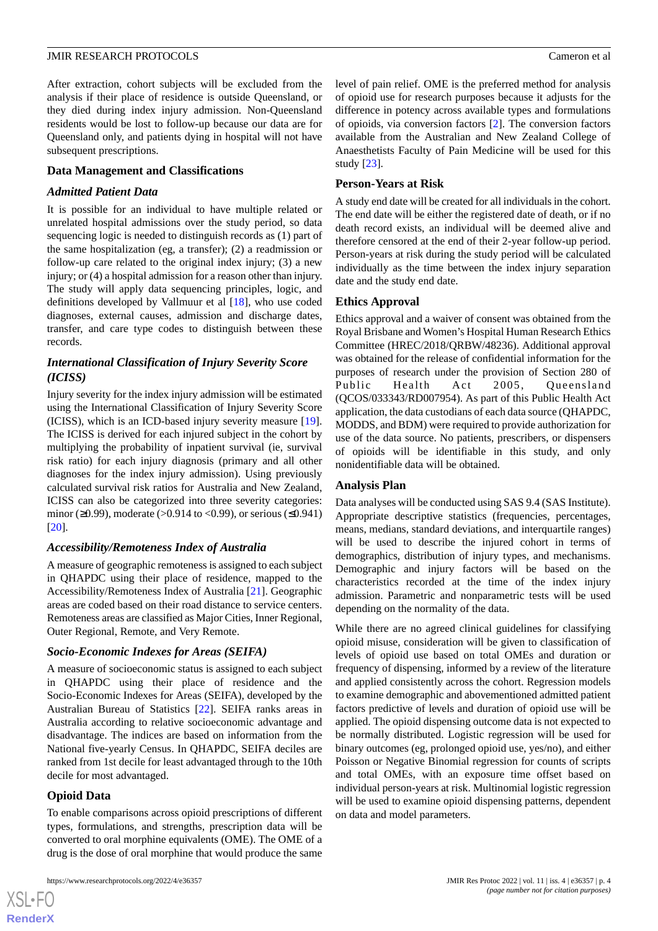After extraction, cohort subjects will be excluded from the analysis if their place of residence is outside Queensland, or they died during index injury admission. Non-Queensland residents would be lost to follow-up because our data are for Queensland only, and patients dying in hospital will not have subsequent prescriptions.

#### **Data Management and Classifications**

#### *Admitted Patient Data*

It is possible for an individual to have multiple related or unrelated hospital admissions over the study period, so data sequencing logic is needed to distinguish records as (1) part of the same hospitalization (eg, a transfer); (2) a readmission or follow-up care related to the original index injury; (3) a new injury; or (4) a hospital admission for a reason other than injury. The study will apply data sequencing principles, logic, and definitions developed by Vallmuur et al [\[18](#page-5-17)], who use coded diagnoses, external causes, admission and discharge dates, transfer, and care type codes to distinguish between these records.

### *International Classification of Injury Severity Score (ICISS)*

Injury severity for the index injury admission will be estimated using the International Classification of Injury Severity Score (ICISS), which is an ICD-based injury severity measure [[19\]](#page-5-18). The ICISS is derived for each injured subject in the cohort by multiplying the probability of inpatient survival (ie, survival risk ratio) for each injury diagnosis (primary and all other diagnoses for the index injury admission). Using previously calculated survival risk ratios for Australia and New Zealand, ICISS can also be categorized into three severity categories: minor (≥0.99), moderate (>0.914 to <0.99), or serious (≤0.941) [[20\]](#page-6-0).

#### *Accessibility/Remoteness Index of Australia*

A measure of geographic remoteness is assigned to each subject in QHAPDC using their place of residence, mapped to the Accessibility/Remoteness Index of Australia [[21\]](#page-6-1). Geographic areas are coded based on their road distance to service centers. Remoteness areas are classified as Major Cities, Inner Regional, Outer Regional, Remote, and Very Remote.

#### *Socio-Economic Indexes for Areas (SEIFA)*

A measure of socioeconomic status is assigned to each subject in QHAPDC using their place of residence and the Socio-Economic Indexes for Areas (SEIFA), developed by the Australian Bureau of Statistics [[22\]](#page-6-2). SEIFA ranks areas in Australia according to relative socioeconomic advantage and disadvantage. The indices are based on information from the National five-yearly Census. In QHAPDC, SEIFA deciles are ranked from 1st decile for least advantaged through to the 10th decile for most advantaged.

#### **Opioid Data**

 $XS$ -FO **[RenderX](http://www.renderx.com/)**

To enable comparisons across opioid prescriptions of different types, formulations, and strengths, prescription data will be converted to oral morphine equivalents (OME). The OME of a drug is the dose of oral morphine that would produce the same

level of pain relief. OME is the preferred method for analysis of opioid use for research purposes because it adjusts for the difference in potency across available types and formulations of opioids, via conversion factors [\[2](#page-5-1)]. The conversion factors available from the Australian and New Zealand College of Anaesthetists Faculty of Pain Medicine will be used for this study [\[23](#page-6-3)].

#### **Person-Years at Risk**

A study end date will be created for all individuals in the cohort. The end date will be either the registered date of death, or if no death record exists, an individual will be deemed alive and therefore censored at the end of their 2-year follow-up period. Person-years at risk during the study period will be calculated individually as the time between the index injury separation date and the study end date.

#### **Ethics Approval**

Ethics approval and a waiver of consent was obtained from the Royal Brisbane and Women's Hospital Human Research Ethics Committee (HREC/2018/QRBW/48236). Additional approval was obtained for the release of confidential information for the purposes of research under the provision of Section 280 of Public Health Act 2005, Queensland (QCOS/033343/RD007954). As part of this Public Health Act application, the data custodians of each data source (QHAPDC, MODDS, and BDM) were required to provide authorization for use of the data source. No patients, prescribers, or dispensers of opioids will be identifiable in this study, and only nonidentifiable data will be obtained.

#### **Analysis Plan**

Data analyses will be conducted using SAS 9.4 (SAS Institute). Appropriate descriptive statistics (frequencies, percentages, means, medians, standard deviations, and interquartile ranges) will be used to describe the injured cohort in terms of demographics, distribution of injury types, and mechanisms. Demographic and injury factors will be based on the characteristics recorded at the time of the index injury admission. Parametric and nonparametric tests will be used depending on the normality of the data.

While there are no agreed clinical guidelines for classifying opioid misuse, consideration will be given to classification of levels of opioid use based on total OMEs and duration or frequency of dispensing, informed by a review of the literature and applied consistently across the cohort. Regression models to examine demographic and abovementioned admitted patient factors predictive of levels and duration of opioid use will be applied. The opioid dispensing outcome data is not expected to be normally distributed. Logistic regression will be used for binary outcomes (eg, prolonged opioid use, yes/no), and either Poisson or Negative Binomial regression for counts of scripts and total OMEs, with an exposure time offset based on individual person-years at risk. Multinomial logistic regression will be used to examine opioid dispensing patterns, dependent on data and model parameters.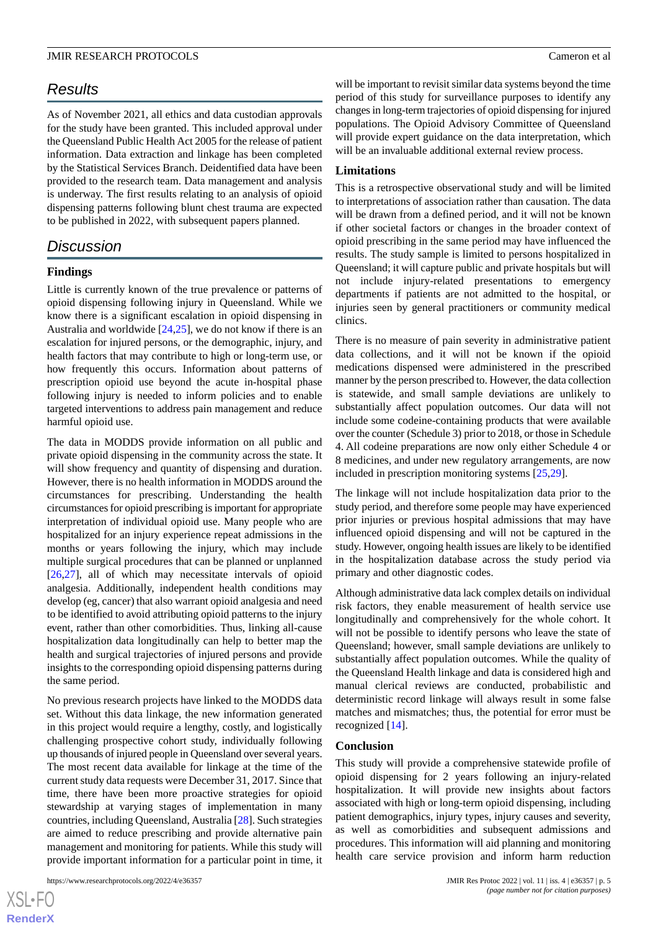# *Results*

As of November 2021, all ethics and data custodian approvals for the study have been granted. This included approval under the Queensland Public Health Act 2005 for the release of patient information. Data extraction and linkage has been completed by the Statistical Services Branch. Deidentified data have been provided to the research team. Data management and analysis is underway. The first results relating to an analysis of opioid dispensing patterns following blunt chest trauma are expected to be published in 2022, with subsequent papers planned.

# *Discussion*

#### **Findings**

Little is currently known of the true prevalence or patterns of opioid dispensing following injury in Queensland. While we know there is a significant escalation in opioid dispensing in Australia and worldwide [\[24](#page-6-4),[25\]](#page-6-5), we do not know if there is an escalation for injured persons, or the demographic, injury, and health factors that may contribute to high or long-term use, or how frequently this occurs. Information about patterns of prescription opioid use beyond the acute in-hospital phase following injury is needed to inform policies and to enable targeted interventions to address pain management and reduce harmful opioid use.

The data in MODDS provide information on all public and private opioid dispensing in the community across the state. It will show frequency and quantity of dispensing and duration. However, there is no health information in MODDS around the circumstances for prescribing. Understanding the health circumstances for opioid prescribing is important for appropriate interpretation of individual opioid use. Many people who are hospitalized for an injury experience repeat admissions in the months or years following the injury, which may include multiple surgical procedures that can be planned or unplanned [[26](#page-6-6)[,27](#page-6-7)], all of which may necessitate intervals of opioid analgesia. Additionally, independent health conditions may develop (eg, cancer) that also warrant opioid analgesia and need to be identified to avoid attributing opioid patterns to the injury event, rather than other comorbidities. Thus, linking all-cause hospitalization data longitudinally can help to better map the health and surgical trajectories of injured persons and provide insights to the corresponding opioid dispensing patterns during the same period.

No previous research projects have linked to the MODDS data set. Without this data linkage, the new information generated in this project would require a lengthy, costly, and logistically challenging prospective cohort study, individually following up thousands of injured people in Queensland over several years. The most recent data available for linkage at the time of the current study data requests were December 31, 2017. Since that time, there have been more proactive strategies for opioid stewardship at varying stages of implementation in many countries, including Queensland, Australia [\[28](#page-6-8)]. Such strategies are aimed to reduce prescribing and provide alternative pain management and monitoring for patients. While this study will provide important information for a particular point in time, it

will be important to revisit similar data systems beyond the time period of this study for surveillance purposes to identify any changes in long-term trajectories of opioid dispensing for injured populations. The Opioid Advisory Committee of Queensland will provide expert guidance on the data interpretation, which will be an invaluable additional external review process.

#### **Limitations**

This is a retrospective observational study and will be limited to interpretations of association rather than causation. The data will be drawn from a defined period, and it will not be known if other societal factors or changes in the broader context of opioid prescribing in the same period may have influenced the results. The study sample is limited to persons hospitalized in Queensland; it will capture public and private hospitals but will not include injury-related presentations to emergency departments if patients are not admitted to the hospital, or injuries seen by general practitioners or community medical clinics.

There is no measure of pain severity in administrative patient data collections, and it will not be known if the opioid medications dispensed were administered in the prescribed manner by the person prescribed to. However, the data collection is statewide, and small sample deviations are unlikely to substantially affect population outcomes. Our data will not include some codeine-containing products that were available over the counter (Schedule 3) prior to 2018, or those in Schedule 4. All codeine preparations are now only either Schedule 4 or 8 medicines, and under new regulatory arrangements, are now included in prescription monitoring systems [[25,](#page-6-5)[29](#page-6-9)].

The linkage will not include hospitalization data prior to the study period, and therefore some people may have experienced prior injuries or previous hospital admissions that may have influenced opioid dispensing and will not be captured in the study. However, ongoing health issues are likely to be identified in the hospitalization database across the study period via primary and other diagnostic codes.

Although administrative data lack complex details on individual risk factors, they enable measurement of health service use longitudinally and comprehensively for the whole cohort. It will not be possible to identify persons who leave the state of Queensland; however, small sample deviations are unlikely to substantially affect population outcomes. While the quality of the Queensland Health linkage and data is considered high and manual clerical reviews are conducted, probabilistic and deterministic record linkage will always result in some false matches and mismatches; thus, the potential for error must be recognized [\[14](#page-5-13)].

#### **Conclusion**

This study will provide a comprehensive statewide profile of opioid dispensing for 2 years following an injury-related hospitalization. It will provide new insights about factors associated with high or long-term opioid dispensing, including patient demographics, injury types, injury causes and severity, as well as comorbidities and subsequent admissions and procedures. This information will aid planning and monitoring health care service provision and inform harm reduction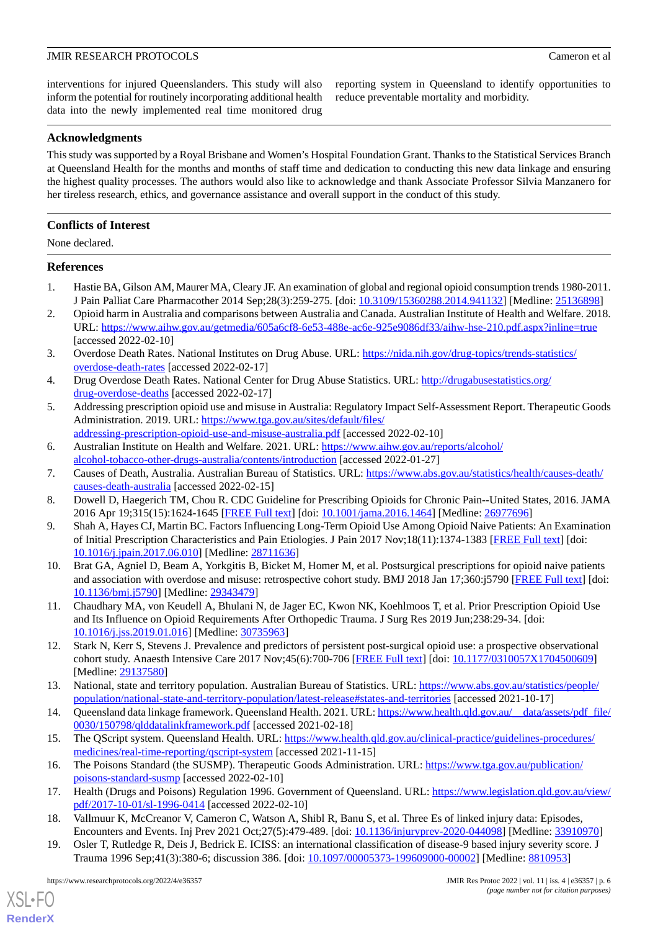interventions for injured Queenslanders. This study will also inform the potential for routinely incorporating additional health data into the newly implemented real time monitored drug

reporting system in Queensland to identify opportunities to reduce preventable mortality and morbidity.

### **Acknowledgments**

This study was supported by a Royal Brisbane and Women's Hospital Foundation Grant. Thanks to the Statistical Services Branch at Queensland Health for the months and months of staff time and dedication to conducting this new data linkage and ensuring the highest quality processes. The authors would also like to acknowledge and thank Associate Professor Silvia Manzanero for her tireless research, ethics, and governance assistance and overall support in the conduct of this study.

### **Conflicts of Interest**

None declared.

#### <span id="page-5-0"></span>**References**

- <span id="page-5-1"></span>1. Hastie BA, Gilson AM, Maurer MA, Cleary JF. An examination of global and regional opioid consumption trends 1980-2011. J Pain Palliat Care Pharmacother 2014 Sep;28(3):259-275. [doi: [10.3109/15360288.2014.941132](http://dx.doi.org/10.3109/15360288.2014.941132)] [Medline: [25136898\]](http://www.ncbi.nlm.nih.gov/entrez/query.fcgi?cmd=Retrieve&db=PubMed&list_uids=25136898&dopt=Abstract)
- <span id="page-5-2"></span>2. Opioid harm in Australia and comparisons between Australia and Canada. Australian Institute of Health and Welfare. 2018. URL: <https://www.aihw.gov.au/getmedia/605a6cf8-6e53-488e-ac6e-925e9086df33/aihw-hse-210.pdf.aspx?inline=true> [accessed 2022-02-10]
- <span id="page-5-4"></span><span id="page-5-3"></span>3. Overdose Death Rates. National Institutes on Drug Abuse. URL: [https://nida.nih.gov/drug-topics/trends-statistics/](https://nida.nih.gov/drug-topics/trends-statistics/overdose-death-rates) [overdose-death-rates](https://nida.nih.gov/drug-topics/trends-statistics/overdose-death-rates) [accessed 2022-02-17]
- 4. Drug Overdose Death Rates. National Center for Drug Abuse Statistics. URL: [http://drugabusestatistics.org/](http://drugabusestatistics.org/drug-overdose-deaths) [drug-overdose-deaths](http://drugabusestatistics.org/drug-overdose-deaths) [accessed 2022-02-17]
- <span id="page-5-5"></span>5. Addressing prescription opioid use and misuse in Australia: Regulatory Impact Self-Assessment Report. Therapeutic Goods Administration. 2019. URL: [https://www.tga.gov.au/sites/default/files/](https://www.tga.gov.au/sites/default/files/addressing-prescription-opioid-use-and-misuse-australia.pdf) [addressing-prescription-opioid-use-and-misuse-australia.pdf](https://www.tga.gov.au/sites/default/files/addressing-prescription-opioid-use-and-misuse-australia.pdf) [accessed 2022-02-10]
- <span id="page-5-7"></span><span id="page-5-6"></span>6. Australian Institute on Health and Welfare. 2021. URL: [https://www.aihw.gov.au/reports/alcohol/](https://www.aihw.gov.au/reports/alcohol/alcohol-tobacco-other-drugs-australia/contents/introduction) [alcohol-tobacco-other-drugs-australia/contents/introduction](https://www.aihw.gov.au/reports/alcohol/alcohol-tobacco-other-drugs-australia/contents/introduction) [accessed 2022-01-27]
- <span id="page-5-8"></span>7. Causes of Death, Australia. Australian Bureau of Statistics. URL: [https://www.abs.gov.au/statistics/health/causes-death/](https://www.abs.gov.au/statistics/health/causes-death/causes-death-australia) [causes-death-australia](https://www.abs.gov.au/statistics/health/causes-death/causes-death-australia) [accessed 2022-02-15]
- <span id="page-5-9"></span>8. Dowell D, Haegerich TM, Chou R. CDC Guideline for Prescribing Opioids for Chronic Pain--United States, 2016. JAMA 2016 Apr 19;315(15):1624-1645 [\[FREE Full text\]](http://europepmc.org/abstract/MED/26977696) [doi: [10.1001/jama.2016.1464\]](http://dx.doi.org/10.1001/jama.2016.1464) [Medline: [26977696\]](http://www.ncbi.nlm.nih.gov/entrez/query.fcgi?cmd=Retrieve&db=PubMed&list_uids=26977696&dopt=Abstract)
- <span id="page-5-10"></span>9. Shah A, Hayes CJ, Martin BC. Factors Influencing Long-Term Opioid Use Among Opioid Naive Patients: An Examination of Initial Prescription Characteristics and Pain Etiologies. J Pain 2017 Nov;18(11):1374-1383 [[FREE Full text](http://europepmc.org/abstract/MED/28711636)] [doi: [10.1016/j.jpain.2017.06.010\]](http://dx.doi.org/10.1016/j.jpain.2017.06.010) [Medline: [28711636](http://www.ncbi.nlm.nih.gov/entrez/query.fcgi?cmd=Retrieve&db=PubMed&list_uids=28711636&dopt=Abstract)]
- <span id="page-5-11"></span>10. Brat GA, Agniel D, Beam A, Yorkgitis B, Bicket M, Homer M, et al. Postsurgical prescriptions for opioid naive patients and association with overdose and misuse: retrospective cohort study. BMJ 2018 Jan 17;360:j5790 [\[FREE Full text\]](http://www.bmj.com/lookup/pmidlookup?view=long&pmid=29343479) [doi: [10.1136/bmj.j5790\]](http://dx.doi.org/10.1136/bmj.j5790) [Medline: [29343479](http://www.ncbi.nlm.nih.gov/entrez/query.fcgi?cmd=Retrieve&db=PubMed&list_uids=29343479&dopt=Abstract)]
- <span id="page-5-12"></span>11. Chaudhary MA, von Keudell A, Bhulani N, de Jager EC, Kwon NK, Koehlmoos T, et al. Prior Prescription Opioid Use and Its Influence on Opioid Requirements After Orthopedic Trauma. J Surg Res 2019 Jun;238:29-34. [doi: [10.1016/j.jss.2019.01.016](http://dx.doi.org/10.1016/j.jss.2019.01.016)] [Medline: [30735963\]](http://www.ncbi.nlm.nih.gov/entrez/query.fcgi?cmd=Retrieve&db=PubMed&list_uids=30735963&dopt=Abstract)
- <span id="page-5-13"></span>12. Stark N, Kerr S, Stevens J. Prevalence and predictors of persistent post-surgical opioid use: a prospective observational cohort study. Anaesth Intensive Care 2017 Nov;45(6):700-706 [[FREE Full text](https://aaic.net.au/PMID/29137580)] [doi: [10.1177/0310057X1704500609](http://dx.doi.org/10.1177/0310057X1704500609)] [Medline: [29137580](http://www.ncbi.nlm.nih.gov/entrez/query.fcgi?cmd=Retrieve&db=PubMed&list_uids=29137580&dopt=Abstract)]
- <span id="page-5-15"></span><span id="page-5-14"></span>13. National, state and territory population. Australian Bureau of Statistics. URL: [https://www.abs.gov.au/statistics/people/](https://www.abs.gov.au/statistics/people/population/national-state-and-territory-population/latest-release#states-and-territories) [population/national-state-and-territory-population/latest-release#states-and-territories](https://www.abs.gov.au/statistics/people/population/national-state-and-territory-population/latest-release#states-and-territories) [accessed 2021-10-17]
- <span id="page-5-16"></span>14. Queensland data linkage framework. Queensland Health. 2021. URL: [https://www.health.qld.gov.au/\\_\\_data/assets/pdf\\_file/](https://www.health.qld.gov.au/__data/assets/pdf_file/0030/150798/qlddatalinkframework.pdf) [0030/150798/qlddatalinkframework.pdf](https://www.health.qld.gov.au/__data/assets/pdf_file/0030/150798/qlddatalinkframework.pdf) [accessed 2021-02-18]
- <span id="page-5-17"></span>15. The QScript system. Queensland Health. URL: [https://www.health.qld.gov.au/clinical-practice/guidelines-procedures/](https://www.health.qld.gov.au/clinical-practice/guidelines-procedures/medicines/real-time-reporting/qscript-system) [medicines/real-time-reporting/qscript-system](https://www.health.qld.gov.au/clinical-practice/guidelines-procedures/medicines/real-time-reporting/qscript-system) [accessed 2021-11-15]
- <span id="page-5-18"></span>16. The Poisons Standard (the SUSMP). Therapeutic Goods Administration. URL: [https://www.tga.gov.au/publication/](https://www.tga.gov.au/publication/poisons-standard-susmp) [poisons-standard-susmp](https://www.tga.gov.au/publication/poisons-standard-susmp) [accessed 2022-02-10]
- 17. Health (Drugs and Poisons) Regulation 1996. Government of Queensland. URL: [https://www.legislation.qld.gov.au/view/](https://www.legislation.qld.gov.au/view/pdf/2017-10-01/sl-1996-0414) [pdf/2017-10-01/sl-1996-0414](https://www.legislation.qld.gov.au/view/pdf/2017-10-01/sl-1996-0414) [accessed 2022-02-10]
- 18. Vallmuur K, McCreanor V, Cameron C, Watson A, Shibl R, Banu S, et al. Three Es of linked injury data: Episodes, Encounters and Events. Inj Prev 2021 Oct;27(5):479-489. [doi: [10.1136/injuryprev-2020-044098](http://dx.doi.org/10.1136/injuryprev-2020-044098)] [Medline: [33910970](http://www.ncbi.nlm.nih.gov/entrez/query.fcgi?cmd=Retrieve&db=PubMed&list_uids=33910970&dopt=Abstract)]
- 19. Osler T, Rutledge R, Deis J, Bedrick E. ICISS: an international classification of disease-9 based injury severity score. J Trauma 1996 Sep;41(3):380-6; discussion 386. [doi: [10.1097/00005373-199609000-00002\]](http://dx.doi.org/10.1097/00005373-199609000-00002) [Medline: [8810953](http://www.ncbi.nlm.nih.gov/entrez/query.fcgi?cmd=Retrieve&db=PubMed&list_uids=8810953&dopt=Abstract)]